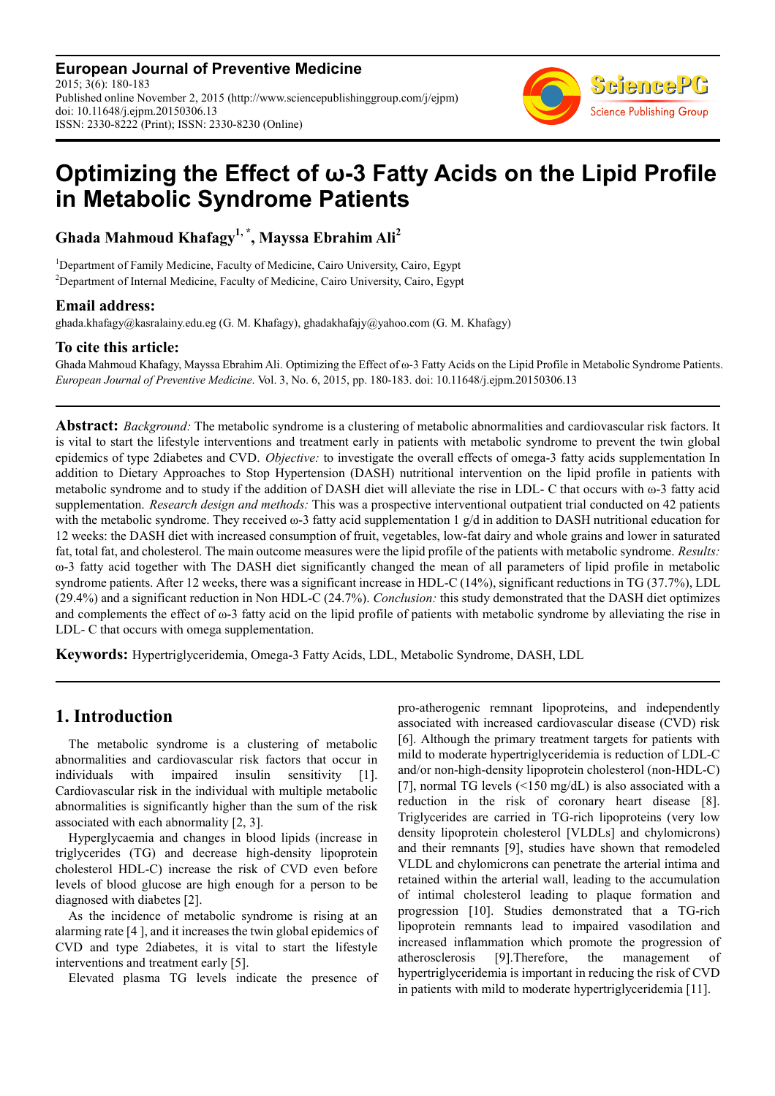**European Journal of Preventive Medicine** 2015; 3(6): 180-183 Published online November 2, 2015 (http://www.sciencepublishinggroup.com/j/ejpm) doi: 10.11648/j.ejpm.20150306.13 ISSN: 2330-8222 (Print); ISSN: 2330-8230 (Online)



# **Optimizing the Effect of ω-3 Fatty Acids on the Lipid Profile in Metabolic Syndrome Patients**

**Ghada Mahmoud Khafagy1, \*, Mayssa Ebrahim Ali<sup>2</sup>**

<sup>1</sup>Department of Family Medicine, Faculty of Medicine, Cairo University, Cairo, Egypt <sup>2</sup>Department of Internal Medicine, Faculty of Medicine, Cairo University, Cairo, Egypt

### **Email address:**

ghada.khafagy@kasralainy.edu.eg (G. M. Khafagy), ghadakhafajy@yahoo.com (G. M. Khafagy)

### **To cite this article:**

Ghada Mahmoud Khafagy, Mayssa Ebrahim Ali. Optimizing the Effect of ω-3 Fatty Acids on the Lipid Profile in Metabolic Syndrome Patients. *European Journal of Preventive Medicine*. Vol. 3, No. 6, 2015, pp. 180-183. doi: 10.11648/j.ejpm.20150306.13

**Abstract:** *Background:* The metabolic syndrome is a clustering of metabolic abnormalities and cardiovascular risk factors. It is vital to start the lifestyle interventions and treatment early in patients with metabolic syndrome to prevent the twin global epidemics of type 2diabetes and CVD. *Objective:* to investigate the overall effects of omega-3 fatty acids supplementation In addition to Dietary Approaches to Stop Hypertension (DASH) nutritional intervention on the lipid profile in patients with metabolic syndrome and to study if the addition of DASH diet will alleviate the rise in LDL- C that occurs with ω-3 fatty acid supplementation. *Research design and methods:* This was a prospective interventional outpatient trial conducted on 42 patients with the metabolic syndrome. They received  $\omega$ -3 fatty acid supplementation 1 g/d in addition to DASH nutritional education for 12 weeks: the DASH diet with increased consumption of fruit, vegetables, low-fat dairy and whole grains and lower in saturated fat, total fat, and cholesterol. The main outcome measures were the lipid profile of the patients with metabolic syndrome. *Results:* ω-3 fatty acid together with The DASH diet significantly changed the mean of all parameters of lipid profile in metabolic syndrome patients. After 12 weeks, there was a significant increase in HDL-C (14%), significant reductions in TG (37.7%), LDL (29.4%) and a significant reduction in Non HDL-C (24.7%). *Conclusion:* this study demonstrated that the DASH diet optimizes and complements the effect of  $\omega$ -3 fatty acid on the lipid profile of patients with metabolic syndrome by alleviating the rise in LDL- C that occurs with omega supplementation.

**Keywords:** Hypertriglyceridemia, Omega-3 Fatty Acids, LDL, Metabolic Syndrome, DASH, LDL

# **1. Introduction**

The metabolic syndrome is a clustering of metabolic abnormalities and cardiovascular risk factors that occur in individuals with impaired insulin sensitivity [1]. Cardiovascular risk in the individual with multiple metabolic abnormalities is significantly higher than the sum of the risk associated with each abnormality [2, 3].

Hyperglycaemia and changes in blood lipids (increase in triglycerides (TG) and decrease high-density lipoprotein cholesterol HDL-C) increase the risk of CVD even before levels of blood glucose are high enough for a person to be diagnosed with diabetes [2].

As the incidence of metabolic syndrome is rising at an alarming rate [4 ], and it increases the twin global epidemics of CVD and type 2diabetes, it is vital to start the lifestyle interventions and treatment early [5].

Elevated plasma TG levels indicate the presence of

pro-atherogenic remnant lipoproteins, and independently associated with increased cardiovascular disease (CVD) risk [6]. Although the primary treatment targets for patients with mild to moderate hypertriglyceridemia is reduction of LDL-C and/or non-high-density lipoprotein cholesterol (non-HDL-C) [7], normal TG levels (<150 mg/dL) is also associated with a reduction in the risk of coronary heart disease [8]. Triglycerides are carried in TG-rich lipoproteins (very low density lipoprotein cholesterol [VLDLs] and chylomicrons) and their remnants [9], studies have shown that remodeled VLDL and chylomicrons can penetrate the arterial intima and retained within the arterial wall, leading to the accumulation of intimal cholesterol leading to plaque formation and progression [10]. Studies demonstrated that a TG-rich lipoprotein remnants lead to impaired vasodilation and increased inflammation which promote the progression of atherosclerosis [9].Therefore, the management of hypertriglyceridemia is important in reducing the risk of CVD in patients with mild to moderate hypertriglyceridemia [11].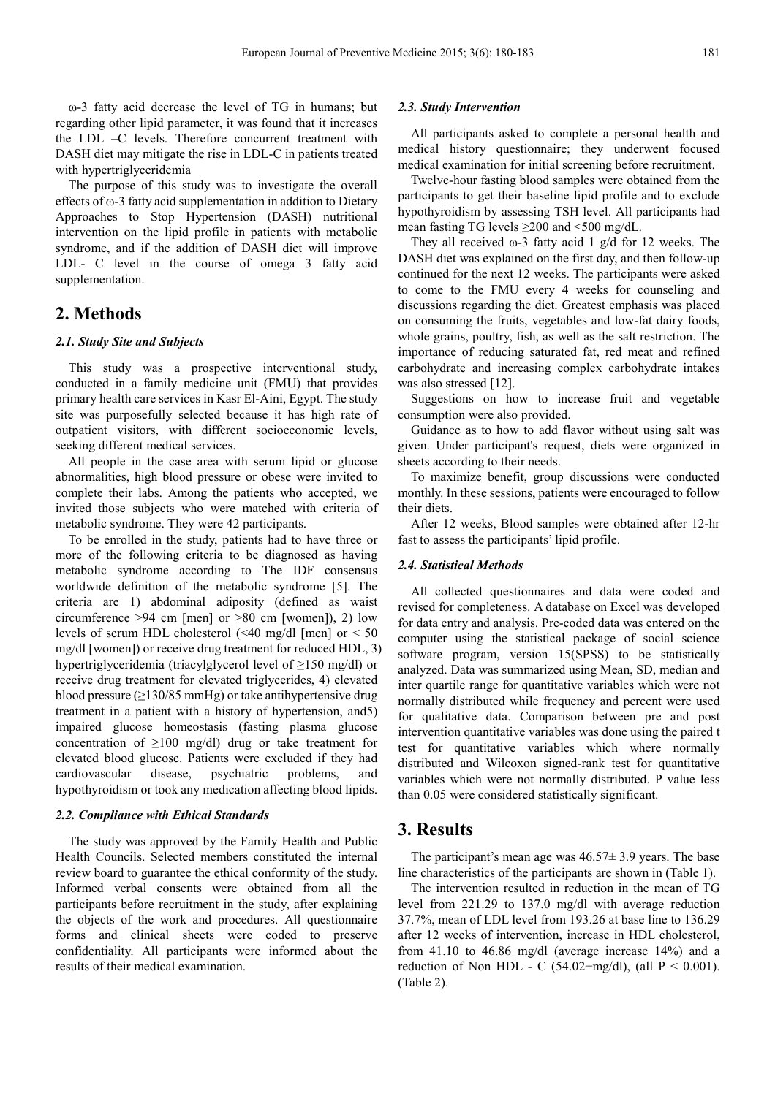ω-3 fatty acid decrease the level of TG in humans; but regarding other lipid parameter, it was found that it increases the LDL –C levels. Therefore concurrent treatment with DASH diet may mitigate the rise in LDL-C in patients treated with hypertriglyceridemia

The purpose of this study was to investigate the overall effects of ω-3 fatty acid supplementation in addition to Dietary Approaches to Stop Hypertension (DASH) nutritional intervention on the lipid profile in patients with metabolic syndrome, and if the addition of DASH diet will improve LDL- C level in the course of omega 3 fatty acid supplementation.

# **2. Methods**

#### *2.1. Study Site and Subjects*

This study was a prospective interventional study, conducted in a family medicine unit (FMU) that provides primary health care services in Kasr El-Aini, Egypt. The study site was purposefully selected because it has high rate of outpatient visitors, with different socioeconomic levels, seeking different medical services.

All people in the case area with serum lipid or glucose abnormalities, high blood pressure or obese were invited to complete their labs. Among the patients who accepted, we invited those subjects who were matched with criteria of metabolic syndrome. They were 42 participants.

To be enrolled in the study, patients had to have three or more of the following criteria to be diagnosed as having metabolic syndrome according to The IDF consensus worldwide definition of the metabolic syndrome [5]. The criteria are 1) abdominal adiposity (defined as waist circumference  $>94$  cm [men] or  $>80$  cm [women]), 2) low levels of serum HDL cholesterol (<40 mg/dl [men] or < 50 mg/dl [women]) or receive drug treatment for reduced HDL, 3) hypertriglyceridemia (triacylglycerol level of ≥150 mg/dl) or receive drug treatment for elevated triglycerides, 4) elevated blood pressure ( $\geq$ 130/85 mmHg) or take antihypertensive drug treatment in a patient with a history of hypertension, and5) impaired glucose homeostasis (fasting plasma glucose concentration of ≥100 mg/dl) drug or take treatment for elevated blood glucose. Patients were excluded if they had cardiovascular disease, psychiatric problems, and hypothyroidism or took any medication affecting blood lipids.

#### *2.2. Compliance with Ethical Standards*

The study was approved by the Family Health and Public Health Councils. Selected members constituted the internal review board to guarantee the ethical conformity of the study. Informed verbal consents were obtained from all the participants before recruitment in the study, after explaining the objects of the work and procedures. All questionnaire forms and clinical sheets were coded to preserve confidentiality. All participants were informed about the results of their medical examination.

#### *2.3. Study Intervention*

All participants asked to complete a personal health and medical history questionnaire; they underwent focused medical examination for initial screening before recruitment.

Twelve-hour fasting blood samples were obtained from the participants to get their baseline lipid profile and to exclude hypothyroidism by assessing TSH level. All participants had mean fasting TG levels ≥200 and <500 mg/dL.

They all received  $\omega$ -3 fatty acid 1 g/d for 12 weeks. The DASH diet was explained on the first day, and then follow-up continued for the next 12 weeks. The participants were asked to come to the FMU every 4 weeks for counseling and discussions regarding the diet. Greatest emphasis was placed on consuming the fruits, vegetables and low-fat dairy foods, whole grains, poultry, fish, as well as the salt restriction. The importance of reducing saturated fat, red meat and refined carbohydrate and increasing complex carbohydrate intakes was also stressed [12].

Suggestions on how to increase fruit and vegetable consumption were also provided.

Guidance as to how to add flavor without using salt was given. Under participant's request, diets were organized in sheets according to their needs.

To maximize benefit, group discussions were conducted monthly. In these sessions, patients were encouraged to follow their diets.

After 12 weeks, Blood samples were obtained after 12-hr fast to assess the participants' lipid profile.

#### *2.4. Statistical Methods*

All collected questionnaires and data were coded and revised for completeness. A database on Excel was developed for data entry and analysis. Pre-coded data was entered on the computer using the statistical package of social science software program, version 15(SPSS) to be statistically analyzed. Data was summarized using Mean, SD, median and inter quartile range for quantitative variables which were not normally distributed while frequency and percent were used for qualitative data. Comparison between pre and post intervention quantitative variables was done using the paired t test for quantitative variables which where normally distributed and Wilcoxon signed-rank test for quantitative variables which were not normally distributed. P value less than 0.05 were considered statistically significant.

### **3. Results**

The participant's mean age was  $46.57 \pm 3.9$  years. The base line characteristics of the participants are shown in (Table 1).

The intervention resulted in reduction in the mean of TG level from 221.29 to 137.0 mg/dl with average reduction 37.7%, mean of LDL level from 193.26 at base line to 136.29 after 12 weeks of intervention, increase in HDL cholesterol, from 41.10 to 46.86 mg/dl (average increase 14%) and a reduction of Non HDL - C (54.02-mg/dl), (all  $P < 0.001$ ). (Table 2).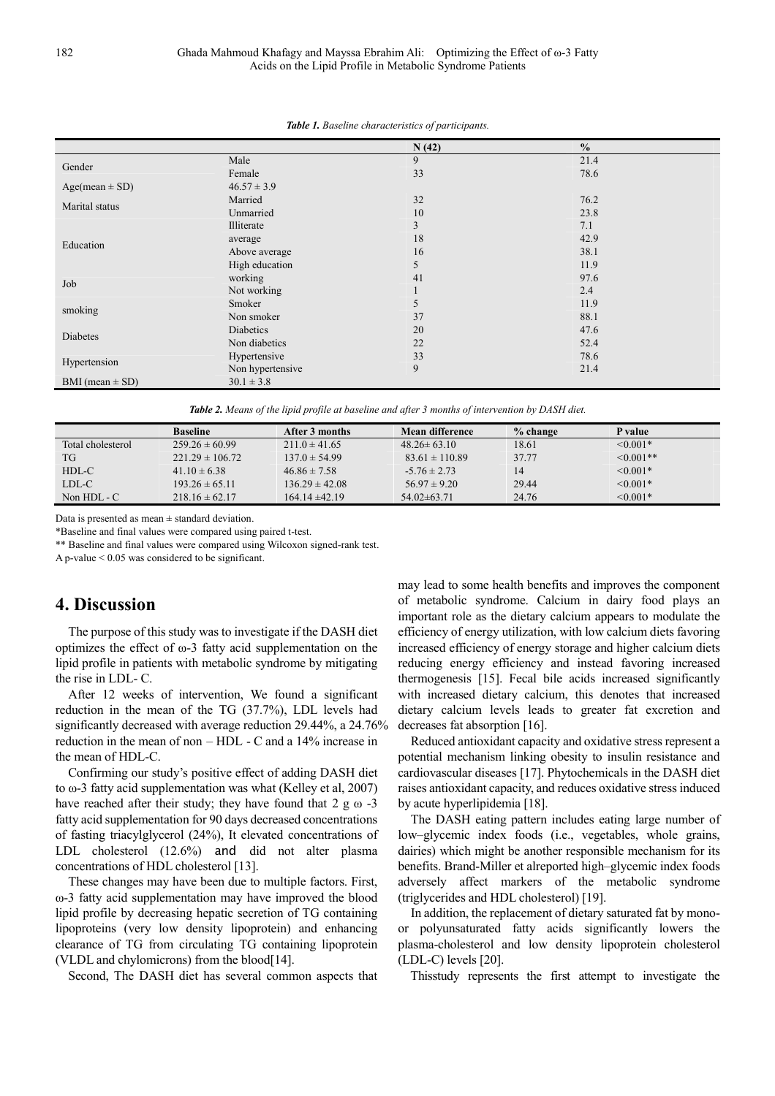|                     |                  | N(42)        | $\frac{0}{0}$ |  |
|---------------------|------------------|--------------|---------------|--|
| Gender              | Male             | 9            | 21.4          |  |
|                     | Female           | 33           | 78.6          |  |
| $Age(mean \pm SD)$  | $46.57 \pm 3.9$  |              |               |  |
| Marital status      | Married          | 32           | 76.2          |  |
|                     | Unmarried        | 10           | 23.8          |  |
|                     | Illiterate       | 3            | 7.1           |  |
| Education           | average          | 18           | 42.9          |  |
|                     | Above average    | 16           | 38.1          |  |
|                     | High education   | 5            | 11.9          |  |
|                     | working          | 41           | 97.6          |  |
| Job                 | Not working      | $\mathbf{I}$ | 2.4           |  |
|                     | Smoker           | 5            | 11.9          |  |
| smoking             | Non smoker       | 37           | 88.1          |  |
|                     | Diabetics        | 20           | 47.6          |  |
| Diabetes            | Non diabetics    | 22           | 52.4          |  |
|                     | Hypertensive     | 33           | 78.6          |  |
| Hypertension        | Non hypertensive | 9            | 21.4          |  |
| BMI (mean $\pm$ SD) | $30.1 \pm 3.8$   |              |               |  |

|  |  |  | <b>Table 1.</b> Baseline characteristics of participants. |
|--|--|--|-----------------------------------------------------------|
|--|--|--|-----------------------------------------------------------|

*Table 2. Means of the lipid profile at baseline and after 3 months of intervention by DASH diet.* 

|                   | <b>Baseline</b>     | After 3 months     | Mean difference    | $%$ change | P value        |
|-------------------|---------------------|--------------------|--------------------|------------|----------------|
| Total cholesterol | $259.26 \pm 60.99$  | $211.0 \pm 41.65$  | $48.26 \pm 63.10$  | 18.61      | $\leq 0.001*$  |
| TG                | $221.29 \pm 106.72$ | $137.0 \pm 54.99$  | $83.61 \pm 110.89$ | 37.77      | $\leq 0.001**$ |
| HDL-C             | $41.10 \pm 6.38$    | $46.86 \pm 7.58$   | $-5.76 \pm 2.73$   | 14         | $< 0.001*$     |
| LDL-C             | $193.26 \pm 65.11$  | $136.29 \pm 42.08$ | $56.97 \pm 9.20$   | 29.44      | $\leq 0.001*$  |
| Non $HDL - C$     | $218.16 \pm 62.17$  | $164.14 \pm 42.19$ | $54.02\pm 63.71$   | 24.76      | $\leq 0.001*$  |

Data is presented as mean  $\pm$  standard deviation.

\*Baseline and final values were compared using paired t-test.

\*\* Baseline and final values were compared using Wilcoxon signed-rank test.

A p-value < 0.05 was considered to be significant.

### **4. Discussion**

The purpose of this study was to investigate if the DASH diet optimizes the effect of ω-3 fatty acid supplementation on the lipid profile in patients with metabolic syndrome by mitigating the rise in LDL- C.

After 12 weeks of intervention, We found a significant reduction in the mean of the TG (37.7%), LDL levels had significantly decreased with average reduction 29.44%, a 24.76% reduction in the mean of non – HDL - C and a 14% increase in the mean of HDL-C.

Confirming our study's positive effect of adding DASH diet to ω-3 fatty acid supplementation was what (Kelley et al, 2007) have reached after their study; they have found that  $2 \text{ g} \omega -3$ fatty acid supplementation for 90 days decreased concentrations of fasting triacylglycerol (24%), It elevated concentrations of LDL cholesterol (12.6%) and did not alter plasma concentrations of HDL cholesterol [13].

These changes may have been due to multiple factors. First, ω-3 fatty acid supplementation may have improved the blood lipid profile by decreasing hepatic secretion of TG containing lipoproteins (very low density lipoprotein) and enhancing clearance of TG from circulating TG containing lipoprotein (VLDL and chylomicrons) from the blood[14].

Second, The DASH diet has several common aspects that

may lead to some health benefits and improves the component of metabolic syndrome. Calcium in dairy food plays an important role as the dietary calcium appears to modulate the efficiency of energy utilization, with low calcium diets favoring increased efficiency of energy storage and higher calcium diets reducing energy efficiency and instead favoring increased thermogenesis [15]. Fecal bile acids increased significantly with increased dietary calcium, this denotes that increased dietary calcium levels leads to greater fat excretion and decreases fat absorption [16].

Reduced antioxidant capacity and oxidative stress represent a potential mechanism linking obesity to insulin resistance and cardiovascular diseases [17]. Phytochemicals in the DASH diet raises antioxidant capacity, and reduces oxidative stress induced by acute hyperlipidemia [18].

The DASH eating pattern includes eating large number of low–glycemic index foods (i.e., vegetables, whole grains, dairies) which might be another responsible mechanism for its benefits. Brand-Miller et alreported high–glycemic index foods adversely affect markers of the metabolic syndrome (triglycerides and HDL cholesterol) [19].

In addition, the replacement of dietary saturated fat by monoor polyunsaturated fatty acids significantly lowers the plasma-cholesterol and low density lipoprotein cholesterol (LDL-C) levels [20].

Thisstudy represents the first attempt to investigate the